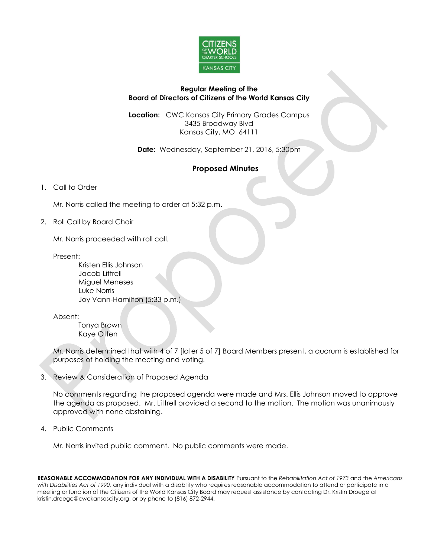

## **Regular Meeting of the Board of Directors of Citizens of the World Kansas City**

**Location:** CWC Kansas City Primary Grades Campus 3435 Broadway Blvd Kansas City, MO 64111

**Date:** Wednesday, September 21, 2016, 5:30pm

## **Proposed Minutes**

1. Call to Order

Mr. Norris called the meeting to order at 5:32 p.m.

2. Roll Call by Board Chair

Mr. Norris proceeded with roll call.

Present:

Kristen Ellis Johnson Jacob Littrell Miguel Meneses Luke Norris Joy Vann-Hamilton (5:33 p.m.)

Absent:

Tonya Brown Kaye Otten

Mr. Norris determined that with 4 of 7 [later 5 of 7] Board Members present, a quorum is established for purposes of holding the meeting and voting.

3. Review & Consideration of Proposed Agenda

No comments regarding the proposed agenda were made and Mrs. Ellis Johnson moved to approve the agenda as proposed. Mr. Littrell provided a second to the motion. The motion was unanimously approved with none abstaining.

4. Public Comments

Mr. Norris invited public comment. No public comments were made.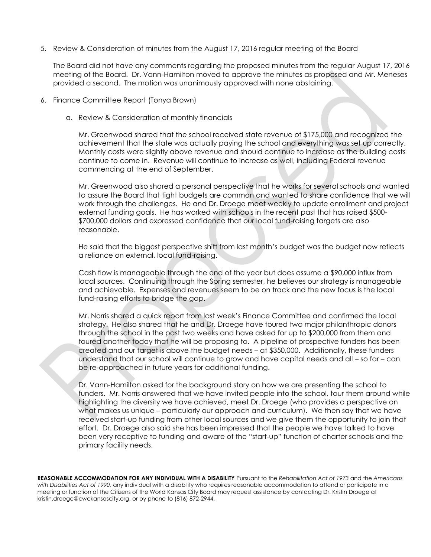5. Review & Consideration of minutes from the August 17, 2016 regular meeting of the Board

The Board did not have any comments regarding the proposed minutes from the regular August 17, 2016 meeting of the Board. Dr. Vann-Hamilton moved to approve the minutes as proposed and Mr. Meneses provided a second. The motion was unanimously approved with none abstaining.

- 6. Finance Committee Report (Tonya Brown)
	- a. Review & Consideration of monthly financials

Mr. Greenwood shared that the school received state revenue of \$175,000 and recognized the achievement that the state was actually paying the school and everything was set up correctly. Monthly costs were slightly above revenue and should continue to increase as the building costs continue to come in. Revenue will continue to increase as well, including Federal revenue commencing at the end of September.

Mr. Greenwood also shared a personal perspective that he works for several schools and wanted to assure the Board that tight budgets are common and wanted to share confidence that we will work through the challenges. He and Dr. Droege meet weekly to update enrollment and project external funding goals. He has worked with schools in the recent past that has raised \$500- \$700,000 dollars and expressed confidence that our local fund-raising targets are also reasonable.

He said that the biggest perspective shift from last month's budget was the budget now reflects a reliance on external, local fund-raising.

Cash flow is manageable through the end of the year but does assume a \$90,000 influx from local sources. Continuing through the Spring semester, he believes our strategy is manageable and achievable. Expenses and revenues seem to be on track and the new focus is the local fund-raising efforts to bridge the gap.

Mr. Norris shared a quick report from last week's Finance Committee and confirmed the local strategy. He also shared that he and Dr. Droege have toured two major philanthropic donors through the school in the past two weeks and have asked for up to \$200,000 from them and toured another today that he will be proposing to. A pipeline of prospective funders has been created and our target is above the budget needs – at \$350,000. Additionally, these funders understand that our school will continue to grow and have capital needs and all – so far – can be re-approached in future years for additional funding.

Dr. Vann-Hamilton asked for the background story on how we are presenting the school to funders. Mr. Norris answered that we have invited people into the school, tour them around while highlighting the diversity we have achieved, meet Dr. Droege (who provides a perspective on what makes us unique – particularly our approach and curriculum). We then say that we have received start-up funding from other local sources and we give them the opportunity to join that effort. Dr. Droege also said she has been impressed that the people we have talked to have been very receptive to funding and aware of the "start-up" function of charter schools and the primary facility needs.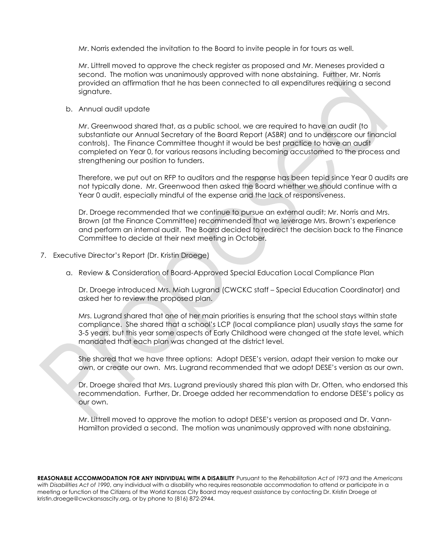Mr. Norris extended the invitation to the Board to invite people in for tours as well.

Mr. Littrell moved to approve the check register as proposed and Mr. Meneses provided a second. The motion was unanimously approved with none abstaining. Further, Mr. Norris provided an affirmation that he has been connected to all expenditures requiring a second signature.

b. Annual audit update

Mr. Greenwood shared that, as a public school, we are required to have an audit (to substantiate our Annual Secretary of the Board Report (ASBR) and to underscore our financial controls). The Finance Committee thought it would be best practice to have an audit completed on Year 0, for various reasons including becoming accustomed to the process and strengthening our position to funders.

Therefore, we put out on RFP to auditors and the response has been tepid since Year 0 audits are not typically done. Mr. Greenwood then asked the Board whether we should continue with a Year 0 audit, especially mindful of the expense and the lack of responsiveness.

Dr. Droege recommended that we continue to pursue an external audit; Mr. Norris and Mrs. Brown (at the Finance Committee) recommended that we leverage Mrs. Brown's experience and perform an internal audit. The Board decided to redirect the decision back to the Finance Committee to decide at their next meeting in October.

- 7. Executive Director's Report (Dr. Kristin Droege)
	- a. Review & Consideration of Board-Approved Special Education Local Compliance Plan

Dr. Droege introduced Mrs. Miah Lugrand (CWCKC staff – Special Education Coordinator) and asked her to review the proposed plan.

Mrs. Lugrand shared that one of her main priorities is ensuring that the school stays within state compliance. She shared that a school's LCP (local compliance plan) usually stays the same for 3-5 years, but this year some aspects of Early Childhood were changed at the state level, which mandated that each plan was changed at the district level.

She shared that we have three options: Adopt DESE's version, adapt their version to make our own, or create our own. Mrs. Lugrand recommended that we adopt DESE's version as our own.

Dr. Droege shared that Mrs. Lugrand previously shared this plan with Dr. Otten, who endorsed this recommendation. Further, Dr. Droege added her recommendation to endorse DESE's policy as our own.

Mr. Littrell moved to approve the motion to adopt DESE's version as proposed and Dr. Vann-Hamilton provided a second. The motion was unanimously approved with none abstaining.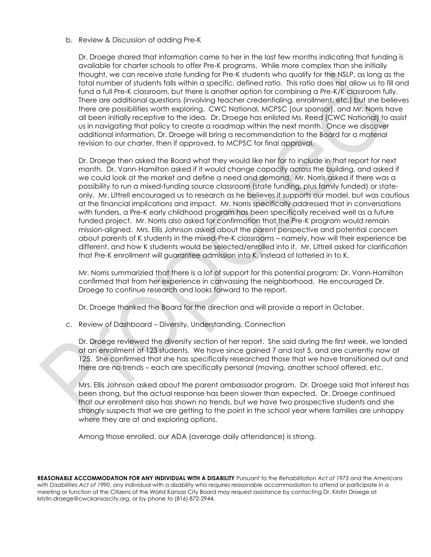b. Review & Discussion of adding Pre-K

Dr. Droege shared that information came to her in the last few months indicating that funding is available for charter schools to offer Pre-K programs. While more complex than she initially thought, we can receive state funding for Pre-K students who qualify for the NSLP, as long as the total number of students falls within a specific, defined ratio. This ratio does not allow us to fill and fund a full Pre-K classroom, but there is another option for combining a Pre-K/K classroom fully. There are additional questions (involving teacher credentialing, enrollment, etc.) but she believes there are possibilities worth exploring. CWC National, MCPSC (our sponsor), and Mr. Norris have all been initially receptive to the idea. Dr. Droege has enlisted Ms. Reed (CWC National) to assist us in navigating that policy to create a roadmap within the next month. Once we discover additional information, Dr. Droege will bring a recommendation to the Board for a material revision to our charter, then if approved, to MCPSC for final approval.

Dr. Droege then asked the Board what they would like her for to include in that report for next month. Dr. Vann-Hamilton asked if it would change capacity across the building, and asked if we could look at the market and define a need and demand. Mr. Norris asked if there was a possibility to run a mixed-funding source classroom (state funding, plus family funded) or stateonly. Mr. Littrell encouraged us to research as he believes it supports our model, but was cautious at the financial implications and impact. Mr. Norris specifically addressed that in conversations with funders, a Pre-K early childhood program has been specifically received well as a future funded project. Mr. Norris also asked for confirmation that the Pre-K program would remain mission-aligned. Mrs. Ellis Johnson asked about the parent perspective and potential concern about parents of K students in the mixed-Pre-K classrooms – namely, how will their experience be different, and how K students would be selected/enrolled into it. Mr. Littrell asked for clarification that Pre-K enrollment will guarantee admission into K, instead of lotteried in to K.

Mr. Norris summarizied that there is a lot of support for this potential program; Dr. Vann-Hamilton confirmed that from her experience in canvassing the neighborhood. He encouraged Dr. Droege to continue research and looks forward to the report.

Dr. Droege thanked the Board for the direction and will provide a report in October.

c. Review of Dashboard – Diversity, Understanding, Connection

Dr. Droege reviewed the diversity section of her report. She said during the first week, we landed at an enrollment of 123 students. We have since gained 7 and lost 5, and are currently now at 125. She confirmed that she has specifically researched those that we have transitioned out and there are no trends – each are specifically personal (moving, another school offered, etc.

Mrs. Ellis Johnson asked about the parent ambassador program. Dr. Droege said that interest has been strong, but the actual response has been slower than expected. Dr. Droege continued that our enrollment also has shown no trends, but we have two prospective students and she strongly suspects that we are getting to the point in the school year where families are unhappy where they are at and exploring options.

Among those enrolled, our ADA (average daily attendance) is strong.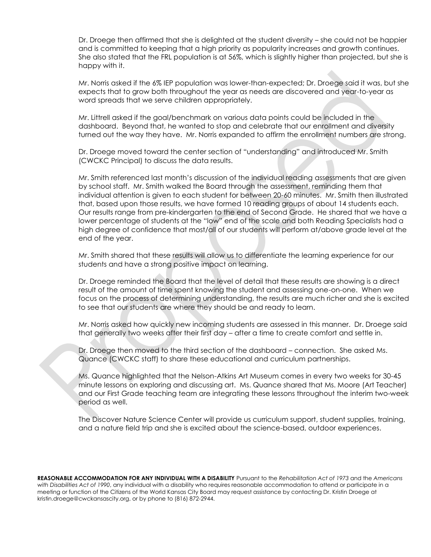Dr. Droege then affirmed that she is delighted at the student diversity – she could not be happier and is committed to keeping that a high priority as popularity increases and growth continues. She also stated that the FRL population is at 56%, which is slightly higher than projected, but she is happy with it.

Mr. Norris asked if the 6% IEP population was lower-than-expected; Dr. Droege said it was, but she expects that to grow both throughout the year as needs are discovered and year-to-year as word spreads that we serve children appropriately.

Mr. Littrell asked if the goal/benchmark on various data points could be included in the dashboard. Beyond that, he wanted to stop and celebrate that our enrollment and diversity turned out the way they have. Mr. Norris expanded to affirm the enrollment numbers are strong.

Dr. Droege moved toward the center section of "understanding" and introduced Mr. Smith (CWCKC Principal) to discuss the data results.

Mr. Smith referenced last month's discussion of the individual reading assessments that are given by school staff. Mr. Smith walked the Board through the assessment, reminding them that individual attention is given to each student for between 20-60 minutes. Mr. Smith then illustrated that, based upon those results, we have formed 10 reading groups of about 14 students each. Our results range from pre-kindergarten to the end of Second Grade. He shared that we have a lower percentage of students at the "low" end of the scale and both Reading Specialists had a high degree of confidence that most/all of our students will perform at/above grade level at the end of the year.

Mr. Smith shared that these results will allow us to differentiate the learning experience for our students and have a strong positive impact on learning.

Dr. Droege reminded the Board that the level of detail that these results are showing is a direct result of the amount of time spent knowing the student and assessing one-on-one. When we focus on the process of determining understanding, the results are much richer and she is excited to see that our students are where they should be and ready to learn.

Mr. Norris asked how quickly new incoming students are assessed in this manner. Dr. Droege said that generally two weeks after their first day – after a time to create comfort and settle in.

Dr. Droege then moved to the third section of the dashboard – connection. She asked Ms. Quance (CWCKC staff) to share these educational and curriculum partnerships.

Ms. Quance highlighted that the Nelson-Atkins Art Museum comes in every two weeks for 30-45 minute lessons on exploring and discussing art. Ms. Quance shared that Ms. Moore (Art Teacher) and our First Grade teaching team are integrating these lessons throughout the interim two-week period as well.

The Discover Nature Science Center will provide us curriculum support, student supplies, training, and a nature field trip and she is excited about the science-based, outdoor experiences.